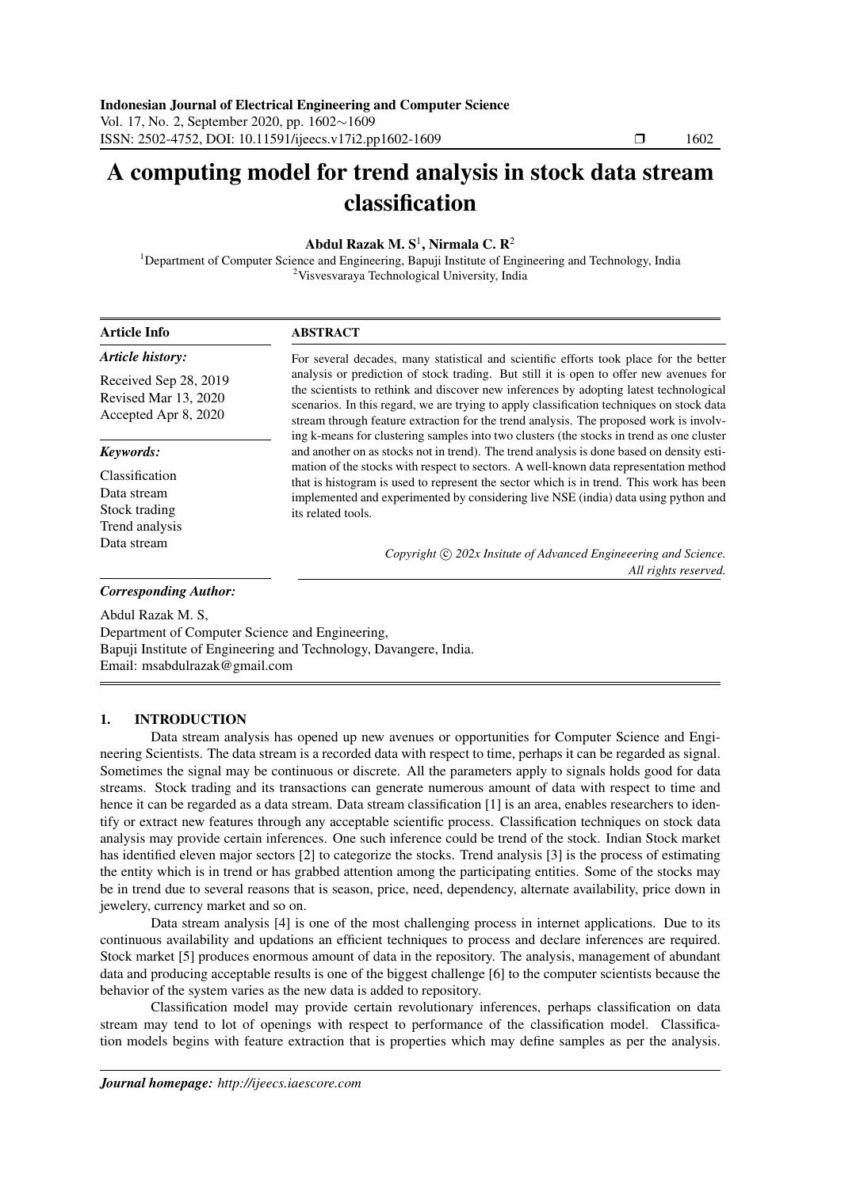# A computing model for trend analysis in stock data stream classification

# Abdul Razak M.  $S^1$ , Nirmala C. R<sup>2</sup>

<sup>1</sup>Department of Computer Science and Engineering, Bapuji Institute of Engineering and Technology, India <sup>2</sup>Visvesvaraya Technological University, India

| <b>Article Info</b>                                                   | <b>ABSTRACT</b>                                                                                                                                                                                                                                                                                                                                                                                                                                                     |  |  |  |  |  |  |  |
|-----------------------------------------------------------------------|---------------------------------------------------------------------------------------------------------------------------------------------------------------------------------------------------------------------------------------------------------------------------------------------------------------------------------------------------------------------------------------------------------------------------------------------------------------------|--|--|--|--|--|--|--|
| <b>Article history:</b>                                               | For several decades, many statistical and scientific efforts took place for the better                                                                                                                                                                                                                                                                                                                                                                              |  |  |  |  |  |  |  |
| Received Sep 28, 2019<br>Revised Mar 13, 2020<br>Accepted Apr 8, 2020 | analysis or prediction of stock trading. But still it is open to offer new avenues for<br>the scientists to rethink and discover new inferences by adopting latest technological<br>scenarios. In this regard, we are trying to apply classification techniques on stock data<br>stream through feature extraction for the trend analysis. The proposed work is involv-<br>ing k-means for clustering samples into two clusters (the stocks in trend as one cluster |  |  |  |  |  |  |  |
| Keywords:                                                             | and another on as stocks not in trend). The trend analysis is done based on density esti-                                                                                                                                                                                                                                                                                                                                                                           |  |  |  |  |  |  |  |
| Classification<br>Data stream<br>Stock trading<br>Trend analysis      | mation of the stocks with respect to sectors. A well-known data representation method<br>that is histogram is used to represent the sector which is in trend. This work has been<br>implemented and experimented by considering live NSE (india) data using python and<br>its related tools.                                                                                                                                                                        |  |  |  |  |  |  |  |
| Data stream                                                           | Copyright (c) 202x Insitute of Advanced Engineeering and Science.<br>All rights reserved.                                                                                                                                                                                                                                                                                                                                                                           |  |  |  |  |  |  |  |
| <b>Corresponding Author:</b>                                          |                                                                                                                                                                                                                                                                                                                                                                                                                                                                     |  |  |  |  |  |  |  |
| $A_{\rm bol}$ D <sub>ozo</sub> l <sub>c</sub> M <sub>S</sub>          |                                                                                                                                                                                                                                                                                                                                                                                                                                                                     |  |  |  |  |  |  |  |

Abdul Razak M. S, Department of Computer Science and Engineering, Bapuji Institute of Engineering and Technology, Davangere, India. Email: msabdulrazak@gmail.com

# 1. INTRODUCTION

Data stream analysis has opened up new avenues or opportunities for Computer Science and Engineering Scientists. The data stream is a recorded data with respect to time, perhaps it can be regarded as signal. Sometimes the signal may be continuous or discrete. All the parameters apply to signals holds good for data streams. Stock trading and its transactions can generate numerous amount of data with respect to time and hence it can be regarded as a data stream. Data stream classification [1] is an area, enables researchers to identify or extract new features through any acceptable scientific process. Classification techniques on stock data analysis may provide certain inferences. One such inference could be trend of the stock. Indian Stock market has identified eleven major sectors [2] to categorize the stocks. Trend analysis [3] is the process of estimating the entity which is in trend or has grabbed attention among the participating entities. Some of the stocks may be in trend due to several reasons that is season, price, need, dependency, alternate availability, price down in jewelery, currency market and so on.

Data stream analysis [4] is one of the most challenging process in internet applications. Due to its continuous availability and updations an efficient techniques to process and declare inferences are required. Stock market [5] produces enormous amount of data in the repository. The analysis, management of abundant data and producing acceptable results is one of the biggest challenge [6] to the computer scientists because the behavior of the system varies as the new data is added to repository.

Classification model may provide certain revolutionary inferences, perhaps classification on data stream may tend to lot of openings with respect to performance of the classification model. Classification models begins with feature extraction that is properties which may define samples as per the analysis.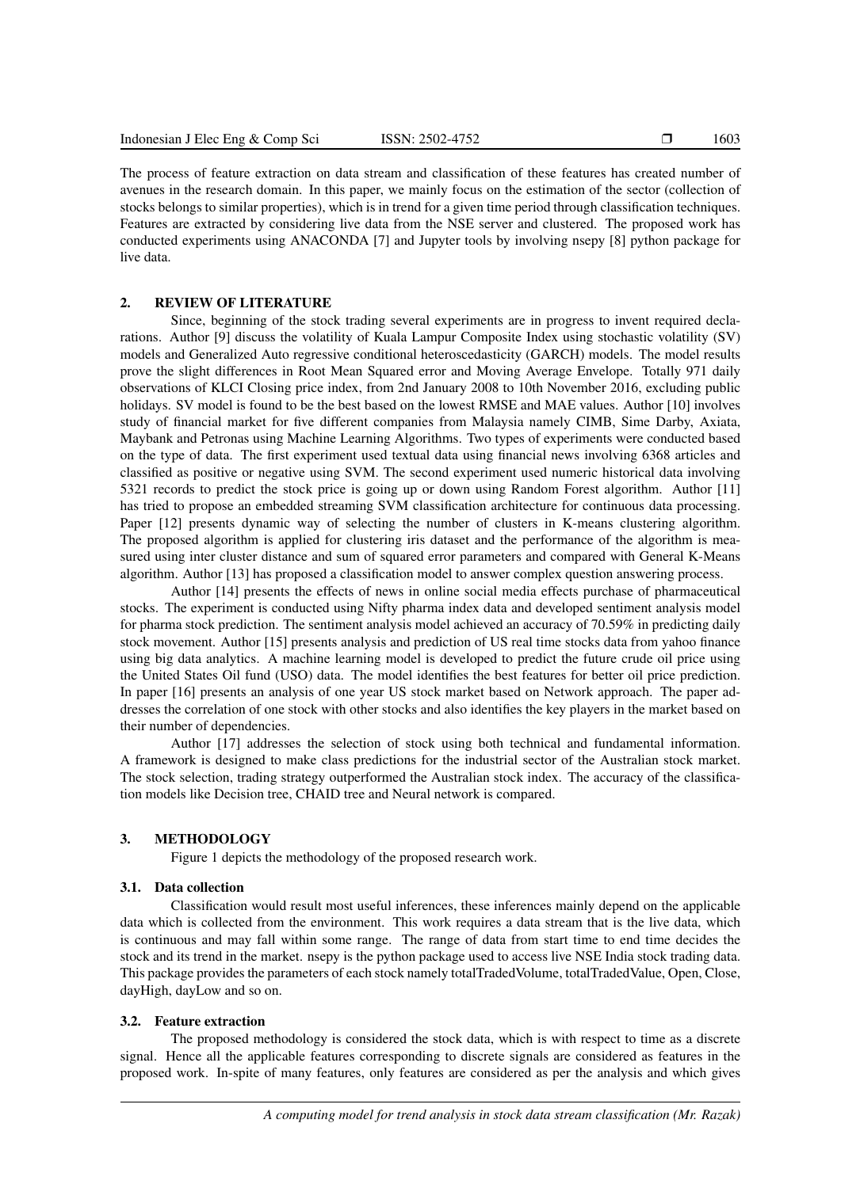The process of feature extraction on data stream and classification of these features has created number of avenues in the research domain. In this paper, we mainly focus on the estimation of the sector (collection of stocks belongs to similar properties), which is in trend for a given time period through classification techniques. Features are extracted by considering live data from the NSE server and clustered. The proposed work has conducted experiments using ANACONDA [7] and Jupyter tools by involving nsepy [8] python package for live data.

# 2. REVIEW OF LITERATURE

Since, beginning of the stock trading several experiments are in progress to invent required declarations. Author [9] discuss the volatility of Kuala Lampur Composite Index using stochastic volatility (SV) models and Generalized Auto regressive conditional heteroscedasticity (GARCH) models. The model results prove the slight differences in Root Mean Squared error and Moving Average Envelope. Totally 971 daily observations of KLCI Closing price index, from 2nd January 2008 to 10th November 2016, excluding public holidays. SV model is found to be the best based on the lowest RMSE and MAE values. Author [10] involves study of financial market for five different companies from Malaysia namely CIMB, Sime Darby, Axiata, Maybank and Petronas using Machine Learning Algorithms. Two types of experiments were conducted based on the type of data. The first experiment used textual data using financial news involving 6368 articles and classified as positive or negative using SVM. The second experiment used numeric historical data involving 5321 records to predict the stock price is going up or down using Random Forest algorithm. Author [11] has tried to propose an embedded streaming SVM classification architecture for continuous data processing. Paper [12] presents dynamic way of selecting the number of clusters in K-means clustering algorithm. The proposed algorithm is applied for clustering iris dataset and the performance of the algorithm is measured using inter cluster distance and sum of squared error parameters and compared with General K-Means algorithm. Author [13] has proposed a classification model to answer complex question answering process.

Author [14] presents the effects of news in online social media effects purchase of pharmaceutical stocks. The experiment is conducted using Nifty pharma index data and developed sentiment analysis model for pharma stock prediction. The sentiment analysis model achieved an accuracy of 70.59% in predicting daily stock movement. Author [15] presents analysis and prediction of US real time stocks data from yahoo finance using big data analytics. A machine learning model is developed to predict the future crude oil price using the United States Oil fund (USO) data. The model identifies the best features for better oil price prediction. In paper [16] presents an analysis of one year US stock market based on Network approach. The paper addresses the correlation of one stock with other stocks and also identifies the key players in the market based on their number of dependencies.

Author [17] addresses the selection of stock using both technical and fundamental information. A framework is designed to make class predictions for the industrial sector of the Australian stock market. The stock selection, trading strategy outperformed the Australian stock index. The accuracy of the classification models like Decision tree, CHAID tree and Neural network is compared.

# 3. METHODOLOGY

Figure 1 depicts the methodology of the proposed research work.

## 3.1. Data collection

Classification would result most useful inferences, these inferences mainly depend on the applicable data which is collected from the environment. This work requires a data stream that is the live data, which is continuous and may fall within some range. The range of data from start time to end time decides the stock and its trend in the market. nsepy is the python package used to access live NSE India stock trading data. This package provides the parameters of each stock namely totalTradedVolume, totalTradedValue, Open, Close, dayHigh, dayLow and so on.

### 3.2. Feature extraction

The proposed methodology is considered the stock data, which is with respect to time as a discrete signal. Hence all the applicable features corresponding to discrete signals are considered as features in the proposed work. In-spite of many features, only features are considered as per the analysis and which gives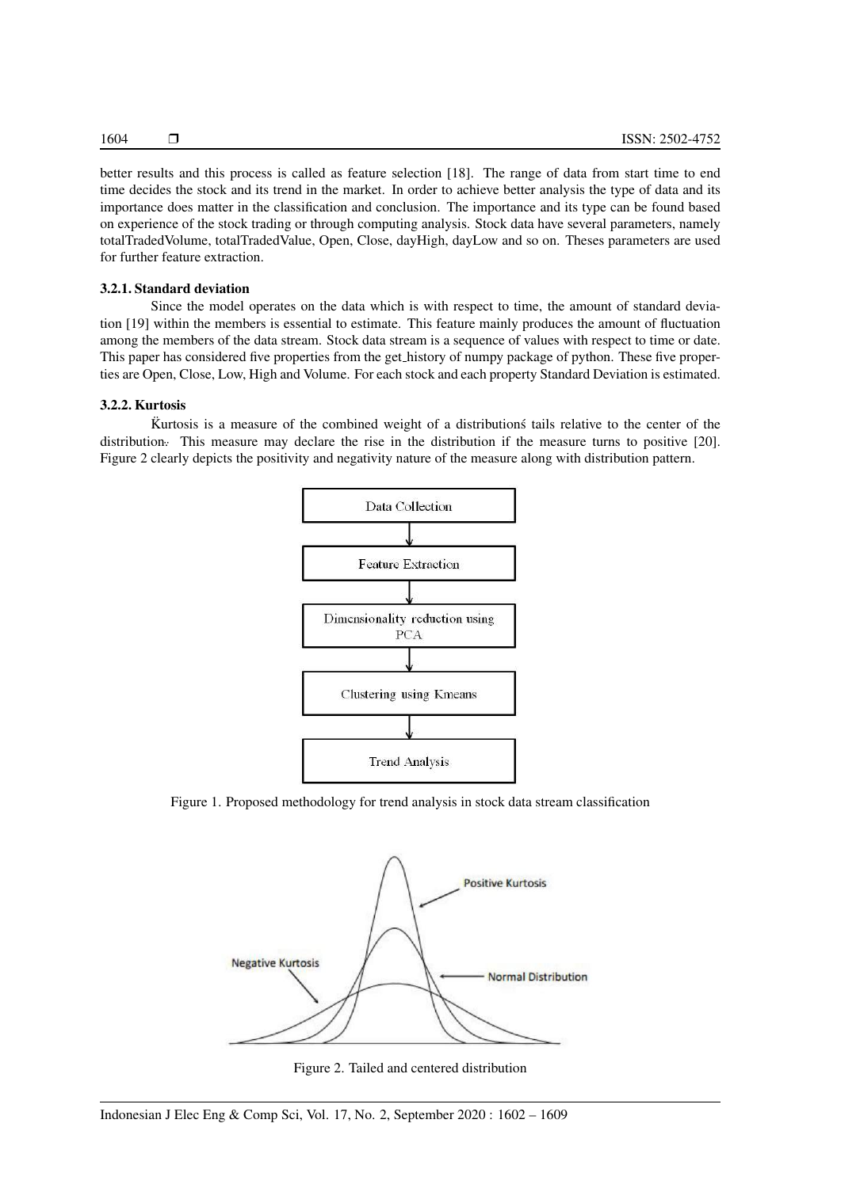better results and this process is called as feature selection [18]. The range of data from start time to end time decides the stock and its trend in the market. In order to achieve better analysis the type of data and its importance does matter in the classification and conclusion. The importance and its type can be found based on experience of the stock trading or through computing analysis. Stock data have several parameters, namely totalTradedVolume, totalTradedValue, Open, Close, dayHigh, dayLow and so on. Theses parameters are used for further feature extraction.

#### 3.2.1. Standard deviation

Since the model operates on the data which is with respect to time, the amount of standard deviation [19] within the members is essential to estimate. This feature mainly produces the amount of fluctuation among the members of the data stream. Stock data stream is a sequence of values with respect to time or date. This paper has considered five properties from the get history of numpy package of python. These five properties are Open, Close, Low, High and Volume. For each stock and each property Standard Deviation is estimated.

#### 3.2.2. Kurtosis

Kurtosis is a measure of the combined weight of a distributions tails relative to the center of the distribution. This measure may declare the rise in the distribution if the measure turns to positive [20]. Figure 2 clearly depicts the positivity and negativity nature of the measure along with distribution pattern.



Figure 1. Proposed methodology for trend analysis in stock data stream classification



Figure 2. Tailed and centered distribution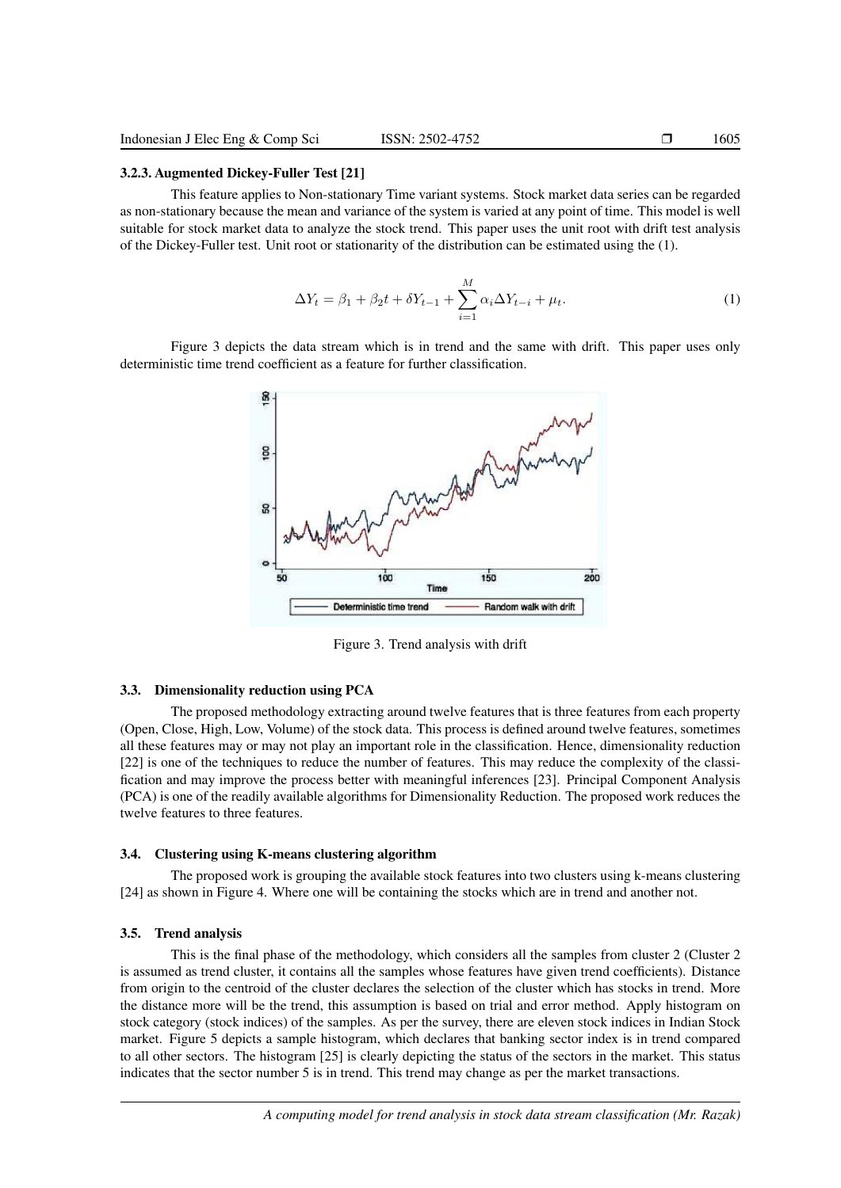# 3.2.3. Augmented Dickey-Fuller Test [21]

This feature applies to Non-stationary Time variant systems. Stock market data series can be regarded as non-stationary because the mean and variance of the system is varied at any point of time. This model is well suitable for stock market data to analyze the stock trend. This paper uses the unit root with drift test analysis of the Dickey-Fuller test. Unit root or stationarity of the distribution can be estimated using the (1).

$$
\Delta Y_t = \beta_1 + \beta_2 t + \delta Y_{t-1} + \sum_{i=1}^{M} \alpha_i \Delta Y_{t-i} + \mu_t.
$$
 (1)

Figure 3 depicts the data stream which is in trend and the same with drift. This paper uses only deterministic time trend coefficient as a feature for further classification.



Figure 3. Trend analysis with drift

## 3.3. Dimensionality reduction using PCA

The proposed methodology extracting around twelve features that is three features from each property (Open, Close, High, Low, Volume) of the stock data. This process is defined around twelve features, sometimes all these features may or may not play an important role in the classification. Hence, dimensionality reduction [22] is one of the techniques to reduce the number of features. This may reduce the complexity of the classification and may improve the process better with meaningful inferences [23]. Principal Component Analysis (PCA) is one of the readily available algorithms for Dimensionality Reduction. The proposed work reduces the twelve features to three features.

#### 3.4. Clustering using K-means clustering algorithm

The proposed work is grouping the available stock features into two clusters using k-means clustering [24] as shown in Figure 4. Where one will be containing the stocks which are in trend and another not.

#### 3.5. Trend analysis

This is the final phase of the methodology, which considers all the samples from cluster 2 (Cluster 2 is assumed as trend cluster, it contains all the samples whose features have given trend coefficients). Distance from origin to the centroid of the cluster declares the selection of the cluster which has stocks in trend. More the distance more will be the trend, this assumption is based on trial and error method. Apply histogram on stock category (stock indices) of the samples. As per the survey, there are eleven stock indices in Indian Stock market. Figure 5 depicts a sample histogram, which declares that banking sector index is in trend compared to all other sectors. The histogram [25] is clearly depicting the status of the sectors in the market. This status indicates that the sector number 5 is in trend. This trend may change as per the market transactions.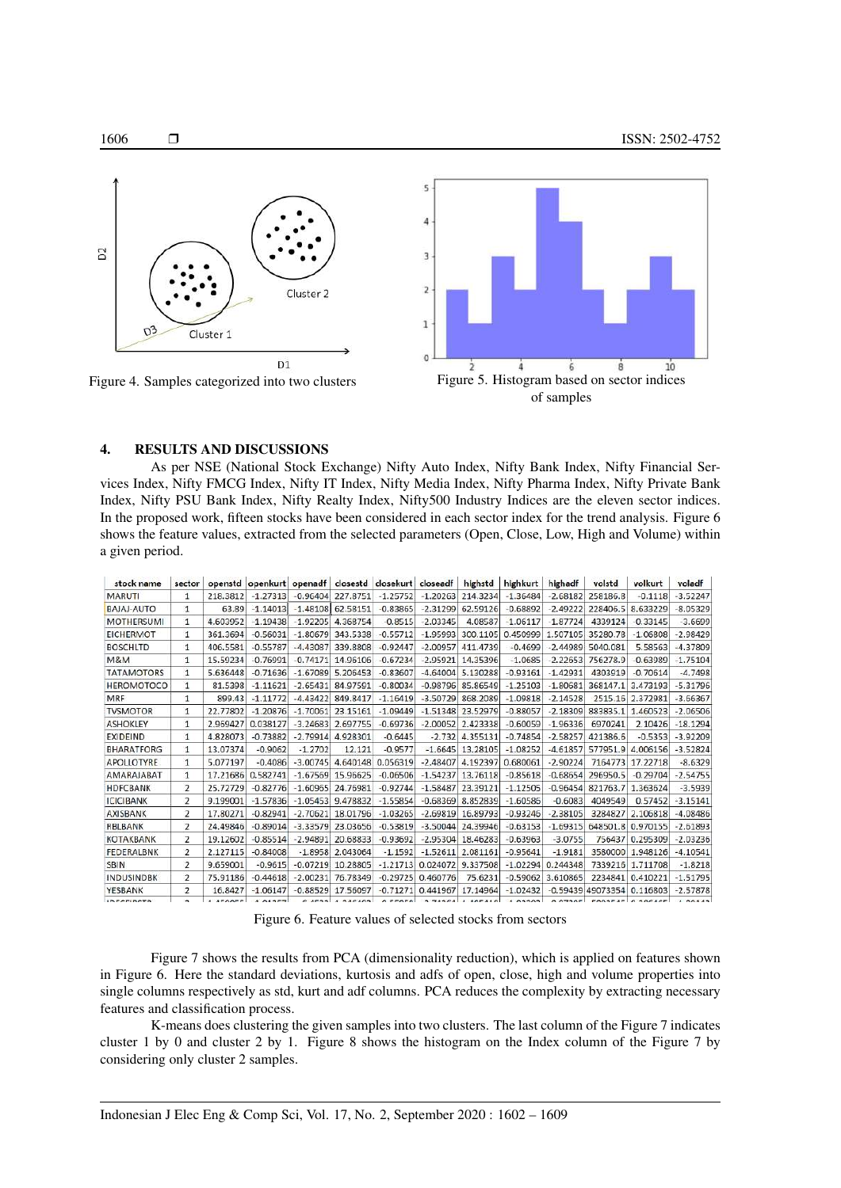

of samples

#### 4. RESULTS AND DISCUSSIONS

As per NSE (National Stock Exchange) Nifty Auto Index, Nifty Bank Index, Nifty Financial Services Index, Nifty FMCG Index, Nifty IT Index, Nifty Media Index, Nifty Pharma Index, Nifty Private Bank Index, Nifty PSU Bank Index, Nifty Realty Index, Nifty500 Industry Indices are the eleven sector indices. In the proposed work, fifteen stocks have been considered in each sector index for the trend analysis. Figure 6 shows the feature values, extracted from the selected parameters (Open, Close, Low, High and Volume) within a given period.

| stock name        | sector                   |          | openstd openkurt openadf |            |                     | closestd closekurt | closeadf   | highstd             | highkurt                        | highadf    | volstd              | volkurt                  | voladf     |
|-------------------|--------------------------|----------|--------------------------|------------|---------------------|--------------------|------------|---------------------|---------------------------------|------------|---------------------|--------------------------|------------|
| <b>MARUTI</b>     | 1                        | 218.3812 | $-1.27313$               | $-0.96404$ | 227.8751            | $-1.25752$         | $-1.20263$ | 214.3234            | $-1.36484$                      | $-2.68182$ | 258186.8            | $-0.1118$                | $-3.52247$ |
| <b>BAJAJ-AUTO</b> | 1                        | 63.89    | $-1.14013$               | $-1.48108$ | 62.58151            | $-0.83865$         | $-2.31299$ | 62.59126            | $-0.68892$                      | $-2.49222$ | 228406.5            | 8.633229                 | $-8.05329$ |
| <b>MOTHERSUMI</b> | 1                        | 4.603952 | $-1.19438$               | $-1.92205$ | 4.368754            | $-0.8515$          | $-2.03345$ | 4.08587             | $-1.06117$                      | $-1.87724$ | 4339124             | $-0.33145$               | $-3.6699$  |
| <b>EICHERMOT</b>  | 1                        | 361.3694 | $-0.56031$               | $-1.80679$ | 343.5338            | $-0.55712$         | $-1.95993$ | 300.1105            | 0.450999                        | 1.507105   | 35280.78            | $-1.06808$               | $-2.98429$ |
| <b>BOSCHLTD</b>   | $\mathbf{1}$             | 406.5581 | $-0.55787$               | $-4.43087$ | 339,8808            | $-0.92447$         | $-2.00957$ | 411.4739            | $-0.4699$                       | $-2.44989$ | 5040.081            | 5.58563                  | $-4.37809$ |
| M&M               | $\mathbf{1}$             | 15.59234 | $-0.76991$               | $-0.74171$ | 14.96106            | $-0.67234$         | $-2.95921$ | 14.35396            | $-1.0685$                       | $-2.22653$ | 756278.9            | $-0.63989$               | $-1.75104$ |
| <b>TATAMOTORS</b> | $\mathbf{1}$             | 5.636448 | $-0.71636$               | $-1.67089$ | 5.206453            | $-0.83607$         | $-4.64004$ | 5.130288            | $-0.93161$                      | $-1.42931$ | 4303919             | $-0.70614$               | $-4.7498$  |
| <b>HEROMOTOCO</b> |                          | 81.5398  | $-1.11621$               | $-2.65431$ | 84.97591            | $-0.80034$         | $-0.98796$ | 85.86549            | $-1.25103$                      | $-1.80681$ | 368147.1            | 3.473193                 | $-5.31796$ |
| MRF               | 1                        | 899.43   | $-1.11772$               | $-4.43422$ | 849.8417            | $-1.16419$         | $-3.50729$ | 868.2089            | $-1.09818$                      | $-2.14528$ | 2515.16             | 2.372981                 | $-3.66367$ |
| <b>TVSMOTOR</b>   | 1                        | 22,77802 | $-1.20876$               | $-1.70061$ | 23.15161            | $-1.09449$         | $-1.51348$ | 23.52979            | $-0.88057$                      | $-2.18309$ | 883835.1            | 1.460523                 | $-2.06506$ |
| <b>ASHOKLEY</b>   | 1                        | 2.969427 | 0.038127                 | $-3.24683$ | 2.697755            | $-0.69736$         | $-2.00052$ | 2.423338            | $-0.60059$                      | $-1.96336$ | 6970241             | 2.10426                  | $-18.1294$ |
| <b>EXIDEIND</b>   | 1                        | 4.828073 | $-0.73882$               | $-2.79914$ | 4.928301            | $-0.6445$          | $-2.732$   | 4.355131            | $-0.74854$                      | $-2.58257$ | 421386.6            | $-0.5353$                | $-3.92209$ |
| <b>BHARATFORG</b> | 1                        | 13.07374 | $-0.9062$                | $-1.2702$  | 12.121              | $-0.9577$          | $-1.6645$  | 13.28105            | $-1.08252$                      | $-4.61857$ | 577951.9            | 4.006156                 | $-3.52824$ |
| <b>APOLLOTYRE</b> | 1                        | 5.077197 | $-0.4086$                | $-3.00745$ | 4.640148            | 0.056319           | $-2.48407$ | 4.192397            | 0.680061                        | $-2.90224$ | 7164773             | 17.22718                 | $-8.6329$  |
| AMARAJABAT        | 1                        | 17,21686 | 0.582741                 | $-1.67569$ | 15.96625            | $-0.06506$         | $-1.54237$ | 13,76118            | $-0.85618$                      | $-0.68654$ | 296950.5            | $-0.29704$               | $-2.54755$ |
| <b>HDFCBANK</b>   | $\overline{2}$           | 25,72729 | $-0.82776$               | $-1.60965$ | 24.76981            | $-0.92744$         | $-1.58487$ | 23.39121            | $-1.12505$                      | $-0.96454$ | 821763.7            | 1.363624                 | $-3.5939$  |
| <b>ICICIBANK</b>  | 2                        | 9.199001 | $-1.57836$               | $-1.05453$ | 9.478832            | $-1.55854$         | $-0.68369$ | 8.852839            | $-1.60586$                      | $-0.6083$  | 4049549             | 0.57452                  | $-3.15141$ |
| AXISBANK          | 2                        | 17,80271 | $-0.82941$               | $-2.70621$ | 18.01796            | $-1.03265$         | $-2.69819$ | 16.89793            | $-0.93246$                      | $-2.38105$ | 3284827             | 2.106818                 | $-4.08486$ |
| <b>RBLBANK</b>    | 2                        | 24.49846 | $-0.89014$               | $-3.33579$ | 23.03656            | $-0.53819$         | $-3.50044$ | 24.39946            | $-0.63153$                      | $-1.69315$ | 648501.8            | 0.970155                 | $-2.61893$ |
| <b>KOTAKBANK</b>  | 2                        | 19.12602 | $-0.85514$               | $-2.94891$ | 20.68833            | $-0.93692$         | $-2.95304$ | 18.46283            | $-0.63963$                      | $-3.0755$  | 756437              | 0.295309                 | $-2.03236$ |
| <b>FEDERALBNK</b> | $\overline{2}$           | 2.127115 | $-0.84008$               | $-1.8958$  | 2.043064            | $-1.1592$          |            | $-1.52611$ 2.081161 | $-0.95641$                      | $-1.9181$  | 3580000             | 1.948126                 | $-4.10541$ |
| <b>SBIN</b>       | $\overline{2}$           | 9.659001 | $-0.9615$                | $-0.07219$ | 10.28805            | $-1.21713$         | 0.024072   | 9.337508            | $-1.02294$                      | 0.244348   | 7339216             | 1.711708                 | $-1.8218$  |
| <b>INDUSINDBK</b> | $\overline{2}$           | 75.91186 | $-0.44618$               | $-2.00231$ | 76.78349            | $-0.29725$         | 0.460776   | 75.6231             | $-0.59062$                      | 3.610865   |                     | 2234841 0.410221         | $-1.51795$ |
| YESBANK           | $\overline{\phantom{a}}$ | 16,8427  | $-1.06147$               |            | $-0.88529$ 17.56097 | $-0.71271$         | 0.441967   | 17.14964            | $-1.02432$                      |            | $-0.59439$ 49073354 | 0.116803                 | $-2.57878$ |
| <b>IDECEIDETD</b> |                          | 1 AFOOFF | 1.01257                  |            | $0.4533 + 240402$   |                    |            |                     | OFFORD 3 74364 1 405410 1 03303 |            |                     | 0.07305 FOOSTAT 0.305455 | 1.00142    |

Figure 6. Feature values of selected stocks from sectors

Figure 7 shows the results from PCA (dimensionality reduction), which is applied on features shown in Figure 6. Here the standard deviations, kurtosis and adfs of open, close, high and volume properties into single columns respectively as std, kurt and adf columns. PCA reduces the complexity by extracting necessary features and classification process.

K-means does clustering the given samples into two clusters. The last column of the Figure 7 indicates cluster 1 by 0 and cluster 2 by 1. Figure 8 shows the histogram on the Index column of the Figure 7 by considering only cluster 2 samples.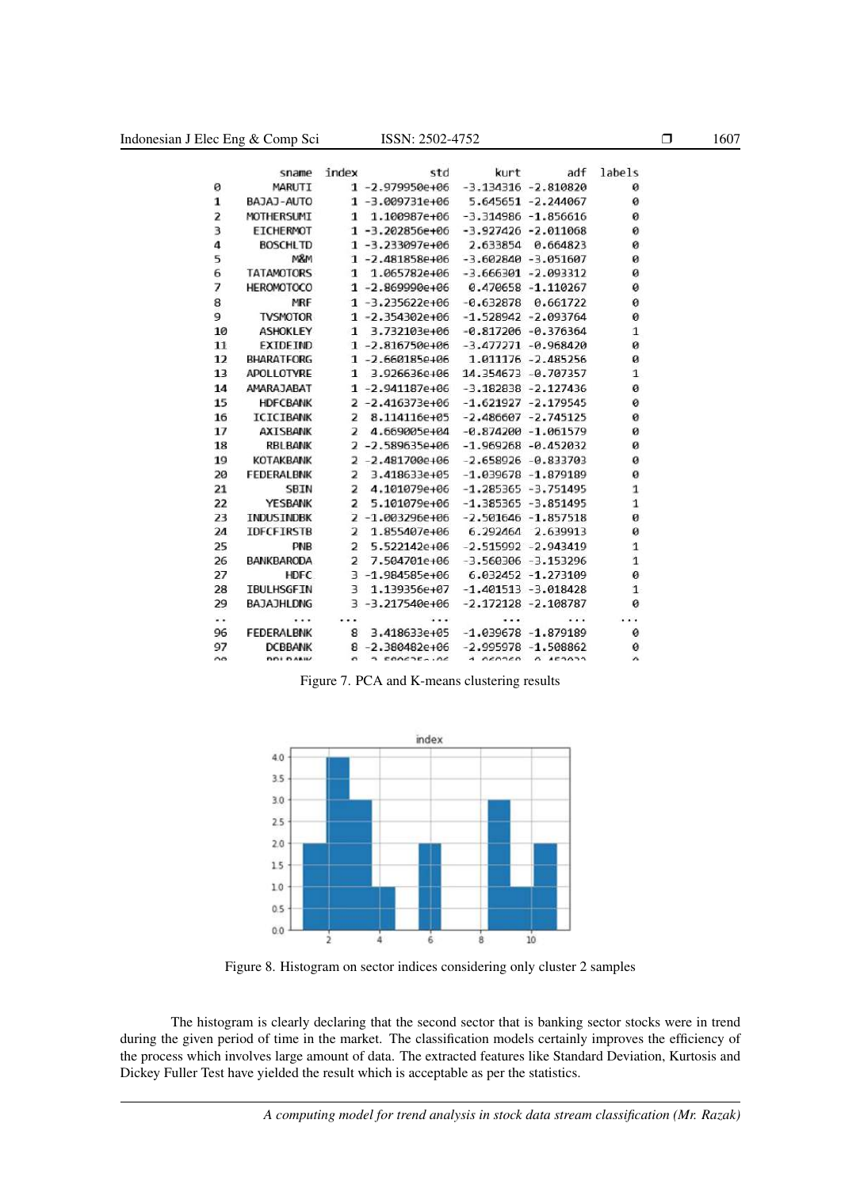|                | sname             | index                    | std                  | kurt        | adf                    | labels       |
|----------------|-------------------|--------------------------|----------------------|-------------|------------------------|--------------|
| 0              | MARUTI            |                          | $1 - 2.979950e + 06$ |             | $-3.134316 - 2.810820$ | ø            |
| 1              | BAJAJ-AUTO        |                          | $1 - 3.009731e + 06$ |             | 5.645651 -2.244067     | ø            |
| $\overline{z}$ | MOTHERSUMI        | 1                        | 1.100987e+06         |             | $-3.314986 - 1.856616$ | ø            |
| 3              | EICHERMOT         |                          | $1 - 3.202856e + 06$ |             | $-3.927426 - 2.011068$ | 0            |
| 4              | <b>BOSCHLTD</b>   |                          | $1 - 3.233097e + 06$ | 2.633854    | 0.664823               | 0            |
| 5              | M&M               |                          | $1 - 2.481858e + 06$ |             | $-3.602840 - 3.051607$ | 0            |
| 6              | <b>TATAMOTORS</b> | 1                        | 1.065782e+06         |             | $-3.666301 - 2.093312$ | ø            |
| 7              | <b>HEROMOTOCO</b> |                          | $1 - 2.869990e + 06$ |             | $0.470658 - 1.110267$  | 0            |
| 8              | MRF               |                          | $1 - 3.235622e + 06$ | $-0.632878$ | 0.661722               | ø            |
| 9              | <b>TVSMOTOR</b>   |                          | $1 - 2.354302e + 06$ |             | $-1.528942 - 2.093764$ | ø            |
| 10             | <b>ASHOKLEY</b>   | 1                        | 3.732103e+06         |             | $-0.817206 - 0.376364$ | 1            |
| 11             | <b>EXTDETND</b>   |                          | $1 - 2.816750e + 06$ |             | $-3.477271 - 0.968420$ | ø            |
| 12             | <b>BHARATFORG</b> |                          | $1 - 2.660185e + 06$ |             | 1.011176 -2.485256     | ø            |
| 13             | APOLLOTYRE        |                          | 1 3.926636e+06       |             | 14.354673 -0.707357    | $\mathbf{1}$ |
| 14             | AMARAJARAT        |                          | $1 - 2.941187e + 06$ |             | $-3.182838 - 2.127436$ | ø            |
| 15             | <b>HDFCBANK</b>   |                          | $2 - 2.416373e + 06$ |             | $-1.621927 - 2.179545$ | ø            |
| 16             | <b>ICICIBANK</b>  | 2                        | 8.114116e+05         |             | $-2.486607 - 2.745125$ | ø            |
| 17             | <b>AXISBANK</b>   | 2                        | 4.669005e+04         |             | $-0.874200 - 1.061579$ | ø            |
| 18             | RBLBANK           |                          | $2 - 2.589635e + 06$ |             | $-1.969268 - 0.452032$ | ø            |
| 19             | <b>KOTAKBANK</b>  |                          | $2 - 2.481700e + 06$ |             | $-2.658926 - 0.833703$ | ø            |
| 20             | <b>FEDERALBNK</b> | 2                        | 3.418633e+05         |             | $-1.039678 - 1.879189$ | ø            |
| 21             | <b>SBIN</b>       | $\overline{2}$           | 4.101079e+06         |             | $-1.285365 - 3.751495$ | 1            |
| 22             | YESBANK           | $\overline{2}$           | 5.101079e+06         |             | $-1.385365 - 3.851495$ | $\mathbf{1}$ |
| 23             | <b>INDUSTNDBK</b> |                          | 2-1.003296e+06       |             | $-2.501646 - 1.857518$ | ø            |
| 24             | <b>IDFCFIRSTB</b> | $\overline{\mathbf{z}}$  | 1.855407e+06         |             | 6.292464 2.639913      | ø            |
| 25             | <b>PNB</b>        | $\overline{2}$           | 5.522142e+06         |             | $-2.515992 - 2.943419$ | 1            |
| 26             | <b>BANKBARODA</b> | $\overline{\phantom{a}}$ | 7.504701e+06         |             | $-3.560306 - 3.153296$ | 1            |
| 27             | <b>HDFC</b>       |                          | $3 - 1.984585e + 06$ |             | 6.032452 -1.273109     | 0            |
| 28             | <b>TBULHSGFIN</b> | 3                        | 1.139356e+07         |             | $-1.401513 - 3.018428$ | $\mathbf{1}$ |
| 29             | BAJAJHLDNG        |                          | $3 - 3.217540e + 06$ |             | $-2.172128 - 2.108787$ | ø            |
|                |                   |                          |                      |             |                        | .            |
| 96             | FEDERALBNK        | 8                        | 3.418633e+05         |             | $-1.039678 - 1.879189$ | 0            |
| 97             | <b>DCBBANK</b>    |                          | $8 - 2.380482e + 06$ |             | $-2.995978 - 1.508862$ | ø            |
| no             | DDI DAMIV         | $\sigma$                 | 2000225.06           | 1 OCODED    | 0.15333                | $\alpha$     |

Figure 7. PCA and K-means clustering results



Figure 8. Histogram on sector indices considering only cluster 2 samples

The histogram is clearly declaring that the second sector that is banking sector stocks were in trend during the given period of time in the market. The classification models certainly improves the efficiency of the process which involves large amount of data. The extracted features like Standard Deviation, Kurtosis and Dickey Fuller Test have yielded the result which is acceptable as per the statistics.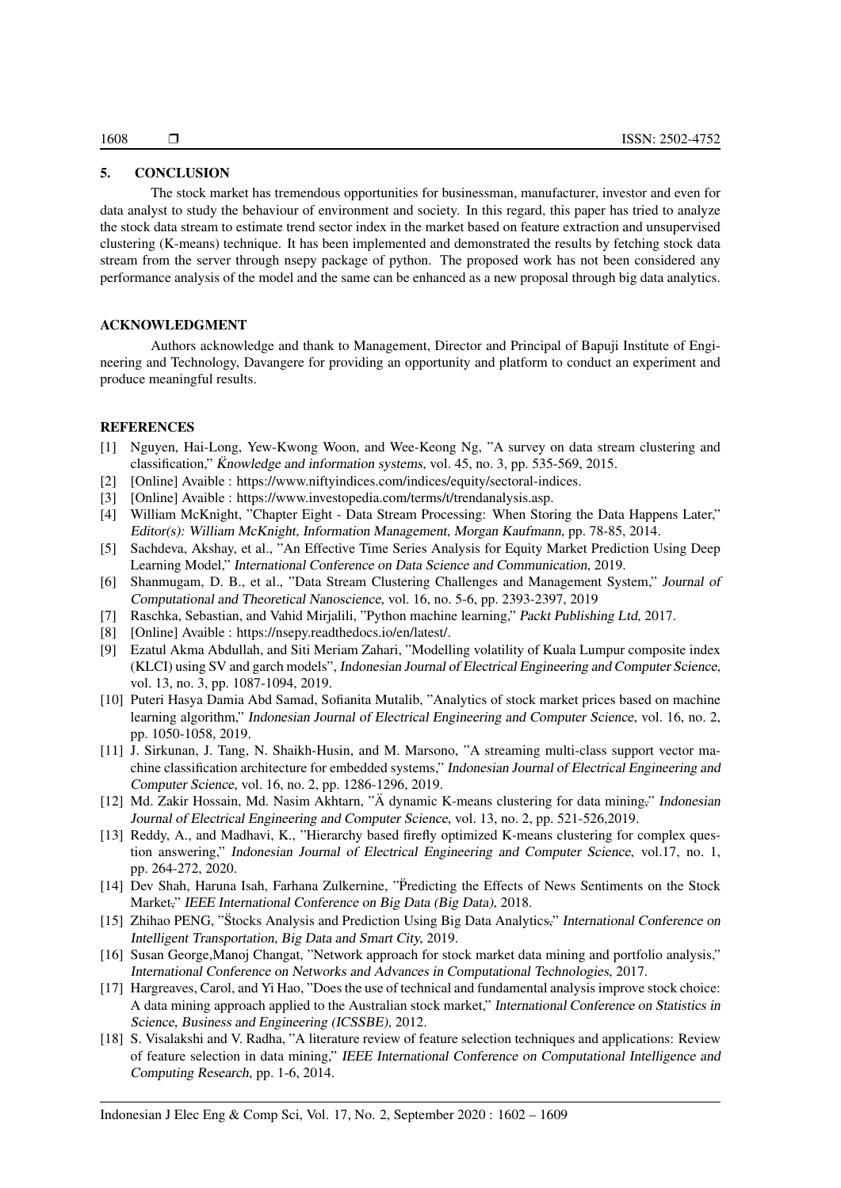# 5. CONCLUSION

The stock market has tremendous opportunities for businessman, manufacturer, investor and even for data analyst to study the behaviour of environment and society. In this regard, this paper has tried to analyze the stock data stream to estimate trend sector index in the market based on feature extraction and unsupervised clustering (K-means) technique. It has been implemented and demonstrated the results by fetching stock data stream from the server through nsepy package of python. The proposed work has not been considered any performance analysis of the model and the same can be enhanced as a new proposal through big data analytics.

## ACKNOWLEDGMENT

Authors acknowledge and thank to Management, Director and Principal of Bapuji Institute of Engineering and Technology, Davangere for providing an opportunity and platform to conduct an experiment and produce meaningful results.

### **REFERENCES**

- [1] Nguyen, Hai-Long, Yew-Kwong Woon, and Wee-Keong Ng, "A survey on data stream clustering and classification," Knowledge and information systems, vol. 45, no. 3, pp. 535-569, 2015.
- [2] [Online] Avaible : https://www.niftyindices.com/indices/equity/sectoral-indices.
- [3] [Online] Avaible : https://www.investopedia.com/terms/t/trendanalysis.asp.
- [4] William McKnight, "Chapter Eight Data Stream Processing: When Storing the Data Happens Later," Editor(s): William McKnight, Information Management, Morgan Kaufmann, pp. 78-85, 2014.
- [5] Sachdeva, Akshay, et al., "An Effective Time Series Analysis for Equity Market Prediction Using Deep Learning Model," International Conference on Data Science and Communication, 2019.
- [6] Shanmugam, D. B., et al., "Data Stream Clustering Challenges and Management System," Journal of Computational and Theoretical Nanoscience, vol. 16, no. 5-6, pp. 2393-2397, 2019
- [7] Raschka, Sebastian, and Vahid Mirjalili, "Python machine learning," Packt Publishing Ltd, 2017.
- [8] [Online] Avaible : https://nsepy.readthedocs.io/en/latest/.
- [9] Ezatul Akma Abdullah, and Siti Meriam Zahari, "Modelling volatility of Kuala Lumpur composite index (KLCI) using SV and garch models", Indonesian Journal of Electrical Engineering and Computer Science, vol. 13, no. 3, pp. 1087-1094, 2019.
- [10] Puteri Hasya Damia Abd Samad, Sofianita Mutalib, "Analytics of stock market prices based on machine learning algorithm," Indonesian Journal of Electrical Engineering and Computer Science, vol. 16, no. 2, pp. 1050-1058, 2019.
- [11] J. Sirkunan, J. Tang, N. Shaikh-Husin, and M. Marsono, "A streaming multi-class support vector machine classification architecture for embedded systems," Indonesian Journal of Electrical Engineering and Computer Science, vol. 16, no. 2, pp. 1286-1296, 2019.
- [12] Md. Zakir Hossain, Md. Nasim Akhtarn, "Ä dynamic K-means clustering for data mining," Indonesian Journal of Electrical Engineering and Computer Science, vol. 13, no. 2, pp. 521-526,2019.
- [13] Reddy, A., and Madhavi, K., "Hierarchy based firefly optimized K-means clustering for complex question answering," Indonesian Journal of Electrical Engineering and Computer Science, vol.17, no. 1, pp. 264-272, 2020.
- [14] Dev Shah, Haruna Isah, Farhana Zulkernine, "Predicting the Effects of News Sentiments on the Stock ¨ Market," IEEE International Conference on Big Data (Big Data), 2018.
- [15] Zhihao PENG, "Stocks Analysis and Prediction Using Big Data Analytics," International Conference on Intelligent Transportation, Big Data and Smart City, 2019.
- [16] Susan George,Manoj Changat, "Network approach for stock market data mining and portfolio analysis," International Conference on Networks and Advances in Computational Technologies, 2017.
- [17] Hargreaves, Carol, and Yi Hao, "Does the use of technical and fundamental analysis improve stock choice: A data mining approach applied to the Australian stock market," International Conference on Statistics in Science, Business and Engineering (ICSSBE), 2012.
- [18] S. Visalakshi and V. Radha, "A literature review of feature selection techniques and applications: Review of feature selection in data mining," IEEE International Conference on Computational Intelligence and Computing Research, pp. 1-6, 2014.